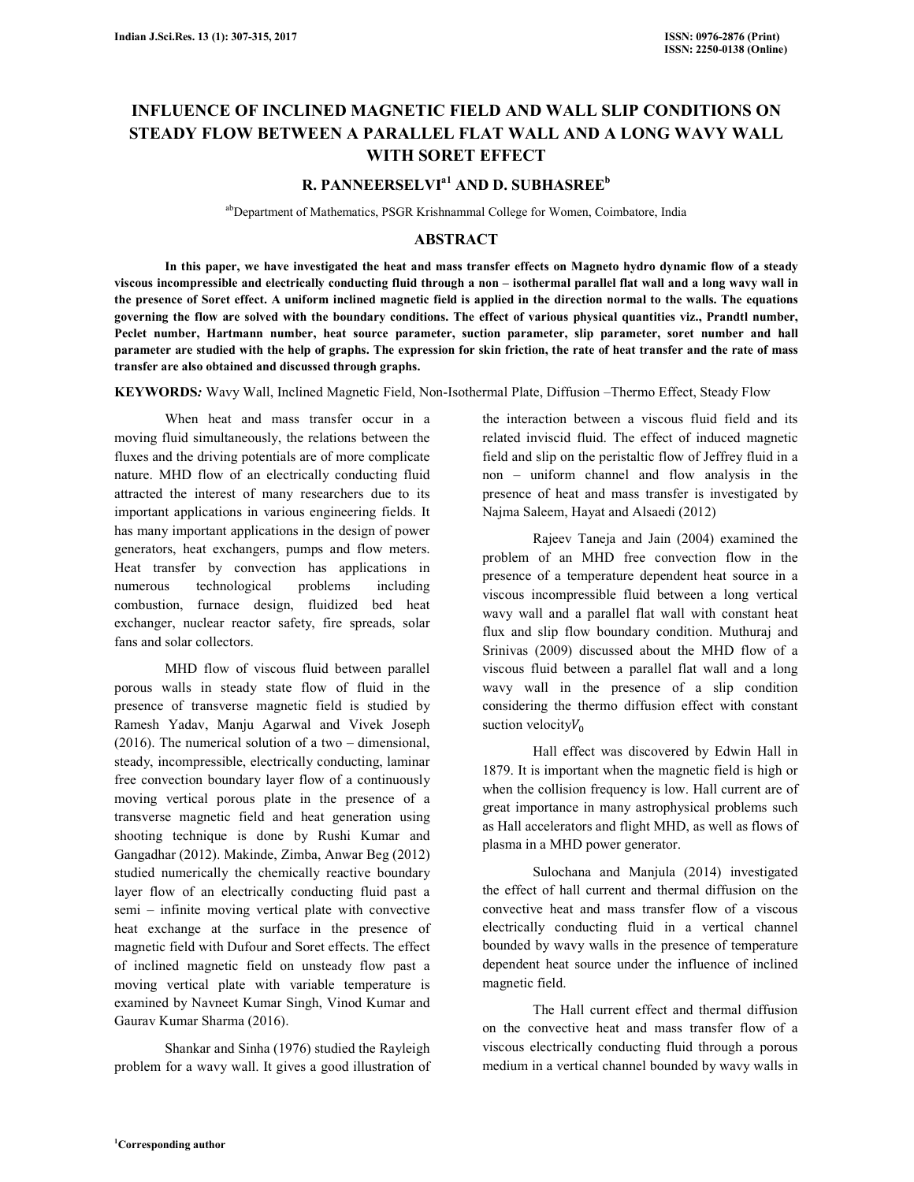# **INFLUENCE OF INCLINED MAGNETIC FIELD AND WALL SLIP CONDITIONS ON STEADY FLOW BETWEEN A PARALLEL FLAT WALL AND A LONG WAVY WALL WITH SORET EFFECT**

# **R. PANNEERSELVIa1 AND D. SUBHASREE<sup>b</sup>**

abDepartment of Mathematics, PSGR Krishnammal College for Women, Coimbatore, India

#### **ABSTRACT**

 **In this paper, we have investigated the heat and mass transfer effects on Magneto hydro dynamic flow of a steady viscous incompressible and electrically conducting fluid through a non – isothermal parallel flat wall and a long wavy wall in the presence of Soret effect. A uniform inclined magnetic field is applied in the direction normal to the walls. The equations governing the flow are solved with the boundary conditions. The effect of various physical quantities viz., Prandtl number, Peclet number, Hartmann number, heat source parameter, suction parameter, slip parameter, soret number and hall parameter are studied with the help of graphs. The expression for skin friction, the rate of heat transfer and the rate of mass transfer are also obtained and discussed through graphs.**

**KEYWORDS***:* Wavy Wall, Inclined Magnetic Field, Non-Isothermal Plate, Diffusion –Thermo Effect, Steady Flow

 When heat and mass transfer occur in a moving fluid simultaneously, the relations between the fluxes and the driving potentials are of more complicate nature. MHD flow of an electrically conducting fluid attracted the interest of many researchers due to its important applications in various engineering fields. It has many important applications in the design of power generators, heat exchangers, pumps and flow meters. Heat transfer by convection has applications in numerous technological problems including combustion, furnace design, fluidized bed heat exchanger, nuclear reactor safety, fire spreads, solar fans and solar collectors.

 MHD flow of viscous fluid between parallel porous walls in steady state flow of fluid in the presence of transverse magnetic field is studied by Ramesh Yadav, Manju Agarwal and Vivek Joseph (2016). The numerical solution of a two – dimensional, steady, incompressible, electrically conducting, laminar free convection boundary layer flow of a continuously moving vertical porous plate in the presence of a transverse magnetic field and heat generation using shooting technique is done by Rushi Kumar and Gangadhar (2012). Makinde, Zimba, Anwar Beg (2012) studied numerically the chemically reactive boundary layer flow of an electrically conducting fluid past a semi – infinite moving vertical plate with convective heat exchange at the surface in the presence of magnetic field with Dufour and Soret effects. The effect of inclined magnetic field on unsteady flow past a moving vertical plate with variable temperature is examined by Navneet Kumar Singh, Vinod Kumar and Gaurav Kumar Sharma (2016).

 Shankar and Sinha (1976) studied the Rayleigh problem for a wavy wall. It gives a good illustration of the interaction between a viscous fluid field and its related inviscid fluid. The effect of induced magnetic field and slip on the peristaltic flow of Jeffrey fluid in a non – uniform channel and flow analysis in the presence of heat and mass transfer is investigated by Najma Saleem, Hayat and Alsaedi (2012)

 Rajeev Taneja and Jain (2004) examined the problem of an MHD free convection flow in the presence of a temperature dependent heat source in a viscous incompressible fluid between a long vertical wavy wall and a parallel flat wall with constant heat flux and slip flow boundary condition. Muthuraj and Srinivas (2009) discussed about the MHD flow of a viscous fluid between a parallel flat wall and a long wavy wall in the presence of a slip condition considering the thermo diffusion effect with constant suction velocity $V_0$ 

 Hall effect was discovered by Edwin Hall in 1879. It is important when the magnetic field is high or when the collision frequency is low. Hall current are of great importance in many astrophysical problems such as Hall accelerators and flight MHD, as well as flows of plasma in a MHD power generator.

 Sulochana and Manjula (2014) investigated the effect of hall current and thermal diffusion on the convective heat and mass transfer flow of a viscous electrically conducting fluid in a vertical channel bounded by wavy walls in the presence of temperature dependent heat source under the influence of inclined magnetic field.

 The Hall current effect and thermal diffusion on the convective heat and mass transfer flow of a viscous electrically conducting fluid through a porous medium in a vertical channel bounded by wavy walls in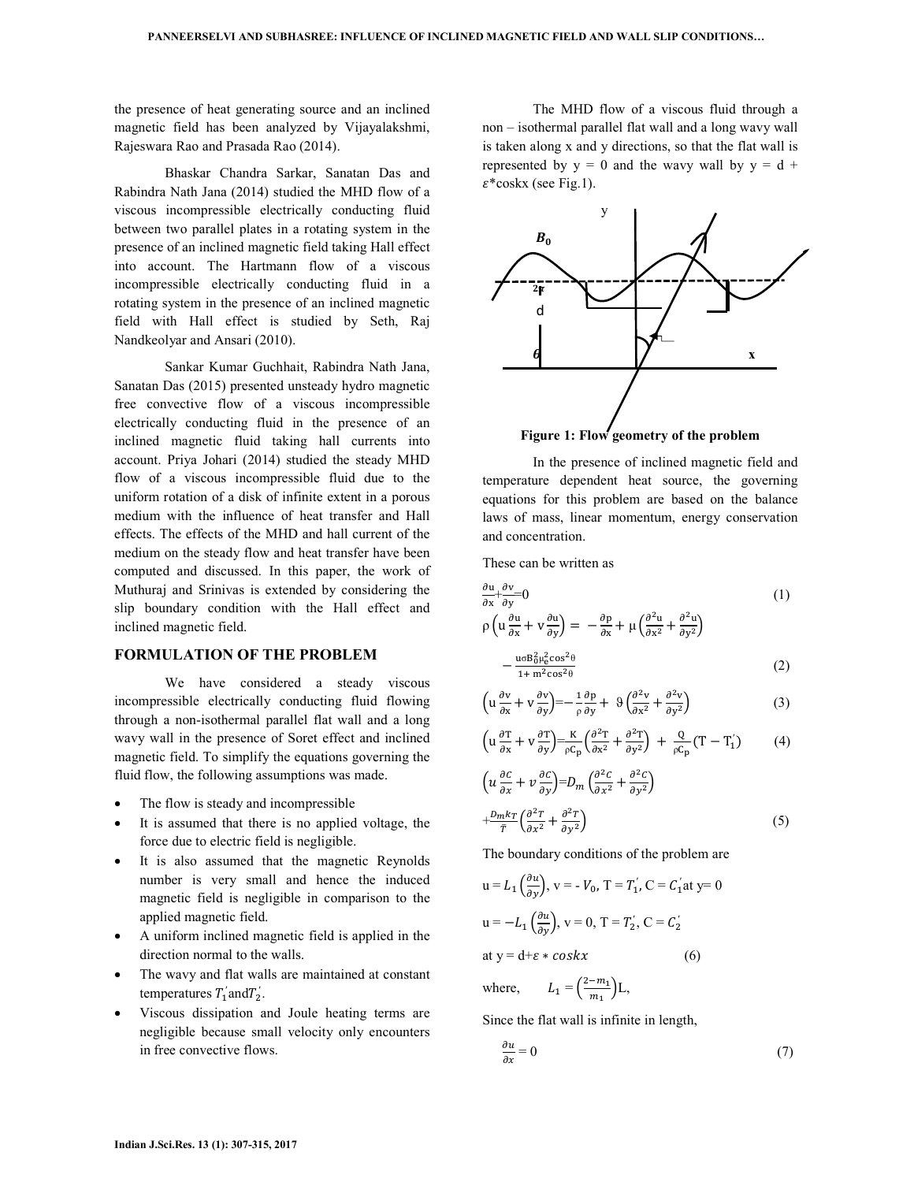the presence of heat generating source and an inclined magnetic field has been analyzed by Vijayalakshmi, Rajeswara Rao and Prasada Rao (2014).

 Bhaskar Chandra Sarkar, Sanatan Das and Rabindra Nath Jana (2014) studied the MHD flow of a viscous incompressible electrically conducting fluid between two parallel plates in a rotating system in the presence of an inclined magnetic field taking Hall effect into account. The Hartmann flow of a viscous incompressible electrically conducting fluid in a rotating system in the presence of an inclined magnetic field with Hall effect is studied by Seth, Raj Nandkeolyar and Ansari (2010).

 Sankar Kumar Guchhait, Rabindra Nath Jana, Sanatan Das (2015) presented unsteady hydro magnetic free convective flow of a viscous incompressible electrically conducting fluid in the presence of an inclined magnetic fluid taking hall currents into account. Priya Johari (2014) studied the steady MHD flow of a viscous incompressible fluid due to the uniform rotation of a disk of infinite extent in a porous medium with the influence of heat transfer and Hall effects. The effects of the MHD and hall current of the medium on the steady flow and heat transfer have been computed and discussed. In this paper, the work of Muthuraj and Srinivas is extended by considering the slip boundary condition with the Hall effect and inclined magnetic field.

#### **FORMULATION OF THE PROBLEM**

 We have considered a steady viscous incompressible electrically conducting fluid flowing through a non-isothermal parallel flat wall and a long wavy wall in the presence of Soret effect and inclined magnetic field. To simplify the equations governing the fluid flow, the following assumptions was made.

- The flow is steady and incompressible
- It is assumed that there is no applied voltage, the force due to electric field is negligible.
- It is also assumed that the magnetic Reynolds number is very small and hence the induced magnetic field is negligible in comparison to the applied magnetic field.
- A uniform inclined magnetic field is applied in the direction normal to the walls.
- The wavy and flat walls are maintained at constant temperatures  $T'_1$  and  $T'_2$ .
- Viscous dissipation and Joule heating terms are negligible because small velocity only encounters in free convective flows.

 The MHD flow of a viscous fluid through a non – isothermal parallel flat wall and a long wavy wall is taken along x and y directions, so that the flat wall is represented by  $y = 0$  and the wavy wall by  $y = d +$  $\varepsilon$ \*coskx (see Fig.1).



 In the presence of inclined magnetic field and temperature dependent heat source, the governing equations for this problem are based on the balance laws of mass, linear momentum, energy conservation and concentration.

These can be written as

$$
\frac{\partial u}{\partial x} + \frac{\partial v}{\partial y} = 0
$$
\n
$$
\rho \left( u \frac{\partial u}{\partial x} + v \frac{\partial u}{\partial y} \right) = -\frac{\partial p}{\partial x} + \mu \left( \frac{\partial^2 u}{\partial x^2} + \frac{\partial^2 u}{\partial y^2} \right)
$$
\n(1)

$$
-\frac{\mathfrak{u}\sigma \mathbf{B}_0^2 \mu_e^2 \cos^2 \theta}{1 + \mathfrak{m}^2 \cos^2 \theta} \tag{2}
$$

$$
\left(u\frac{\partial v}{\partial x} + v\frac{\partial v}{\partial y}\right) = -\frac{1}{\rho}\frac{\partial p}{\partial y} + \vartheta \left(\frac{\partial^2 v}{\partial x^2} + \frac{\partial^2 v}{\partial y^2}\right) \tag{3}
$$

$$
\left(u\frac{\partial T}{\partial x} + v\frac{\partial T}{\partial y}\right) = \frac{K}{\rho C_p} \left(\frac{\partial^2 T}{\partial x^2} + \frac{\partial^2 T}{\partial y^2}\right) + \frac{Q}{\rho C_p} (T - T_1')\tag{4}
$$

$$
\left(u\frac{\partial c}{\partial x} + v\frac{\partial c}{\partial y}\right) = D_m \left(\frac{\partial^2 c}{\partial x^2} + \frac{\partial^2 c}{\partial y^2}\right)
$$

$$
+\frac{D_m k_T}{\bar{r}} \left(\frac{\partial^2 T}{\partial x^2} + \frac{\partial^2 T}{\partial y^2}\right) \tag{5}
$$

The boundary conditions of the problem are

$$
u = L_1 \left(\frac{\partial u}{\partial y}\right), v = -V_0, T = T_1', C = C_1' at y = 0
$$
  

$$
u = -L_1 \left(\frac{\partial u}{\partial y}\right), v = 0, T = T_2', C = C_2'
$$
  
at  $y = d + \varepsilon * \cos kx$  (6)

where,  $=\left(\frac{2-m_1}{m_1}\right)$  $\frac{m_1}{m_1}$   $\Big)$  L,

Since the flat wall is infinite in length,

$$
\frac{\partial u}{\partial x} = 0\tag{7}
$$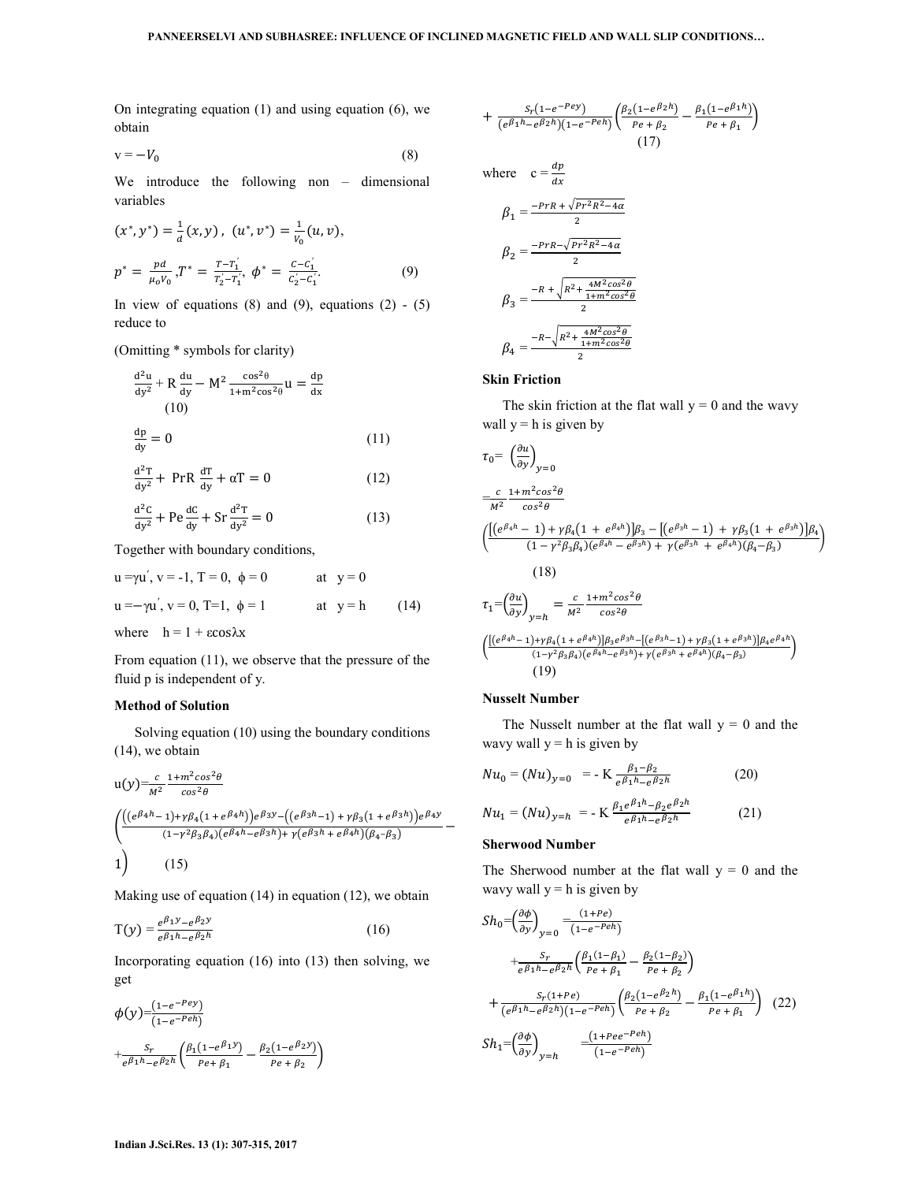On integrating equation (1) and using equation (6), we obtain

$$
v = -V_0 \tag{8}
$$

We introduce the following non – dimensional variables

$$
(x^*, y^*) = \frac{1}{d}(x, y), (u^*, v^*) = \frac{1}{v_0}(u, v),
$$
  

$$
p^* = \frac{pd}{\mu_0 v_0}, T^* = \frac{T - T_1^{'}}{T_2^{'} - T_1^{'}}, \phi^* = \frac{C - C_1^{'}}{C_2^{'} - C_1^{'}}.
$$
 (9)

In view of equations  $(8)$  and  $(9)$ , equations  $(2) - (5)$ reduce to

(Omitting \* symbols for clarity)

$$
\frac{d^2u}{dy^2} + R \frac{du}{dy} - M^2 \frac{\cos^2\theta}{1 + m^2 \cos^2\theta} u = \frac{dp}{dx}
$$
  
(10)  

$$
\frac{dp}{dy} = 0
$$
 (11)

$$
\frac{\mathrm{d}^2 \mathrm{T}}{\mathrm{d} y^2} + \text{PrR} \frac{\mathrm{d} \mathrm{T}}{\mathrm{d} y} + \alpha \mathrm{T} = 0 \tag{12}
$$

$$
\frac{\mathrm{d}^2\mathrm{C}}{\mathrm{d}y^2} + \mathrm{Pe}\frac{\mathrm{d}\mathrm{C}}{\mathrm{d}y} + \mathrm{Sr}\frac{\mathrm{d}^2\mathrm{T}}{\mathrm{d}y^2} = 0\tag{13}
$$

Together with boundary conditions,

$$
u = \gamma u', v = -1, T = 0, \phi = 0 \qquad \text{at } y = 0
$$
  

$$
u = -\gamma u', v = 0, T = 1, \phi = 1 \qquad \text{at } y = h \qquad (14)
$$

where  $h = 1 + \epsilon \cos \lambda x$ 

From equation (11), we observe that the pressure of the fluid p is independent of y.

## **Method of Solution**

Solving equation (10) using the boundary conditions (14), we obtain

$$
u(y) = \frac{c}{M^2} \frac{1 + m^2 \cos^2 \theta}{\cos^2 \theta}
$$
  
\n
$$
\left( \frac{\left( (e^{\beta_4 h} - 1) + \gamma \beta_4 (1 + e^{\beta_4 h}) \right) e^{\beta_3 y} - \left( (e^{\beta_3 h} - 1) + \gamma \beta_3 (1 + e^{\beta_3 h}) \right) e^{\beta_4 y}}{(1 - \gamma^2 \beta_3 \beta_4) (e^{\beta_4 h} - e^{\beta_3 h}) + \gamma (e^{\beta_3 h} + e^{\beta_4 h}) (\beta_4 - \beta_3)} \right)
$$
  
\n(15)

Making use of equation (14) in equation (12), we obtain

$$
T(y) = \frac{e^{\beta_1 y} - e^{\beta_2 y}}{e^{\beta_1 h} - e^{\beta_2 h}}
$$
 (16)

Incorporating equation (16) into (13) then solving, we get

$$
\begin{aligned} &\phi(y) = \frac{(1 - e^{-P\epsilon y})}{(1 - e^{-P\epsilon h})} \\ &+ \frac{S_r}{e^{\beta_1 h} - e^{\beta_2 h}} \left( \frac{\beta_1 (1 - e^{\beta_1 y})}{P\epsilon + \beta_1} - \frac{\beta_2 (1 - e^{\beta_2 y})}{P\epsilon + \beta_2} \right) \end{aligned}
$$

$$
+\frac{S_r(1-e^{-Pey})}{(e^{\beta_1h}-e^{\beta_2h})(1-e^{-Peh})}\left(\frac{\beta_2(1-e^{\beta_2h})}{Pe+\beta_2}-\frac{\beta_1(1-e^{\beta_1h})}{Pe+\beta_1}\right)
$$
\n(17)

where 
$$
c = \frac{dp}{dx}
$$
  
\n
$$
\beta_1 = \frac{-prR + \sqrt{pr^2R^2 - 4\alpha}}{2}
$$
\n
$$
\beta_2 = \frac{-prR - \sqrt{pr^2R^2 - 4\alpha}}{2}
$$

$$
\beta_3 = \frac{-R + \sqrt{R^2 + \frac{4M^2 \cos^2 \theta}{1 + m^2 \cos^2 \theta}}}{2}
$$

$$
\beta_4 = \frac{-R - \sqrt{R^2 + \frac{4M^2 \cos^2 \theta}{1 + m^2 \cos^2 \theta}}}{2}
$$

#### **Skin Friction**

The skin friction at the flat wall  $y = 0$  and the wavy wall  $y = h$  is given by

$$
\tau_{0} = \left(\frac{\partial u}{\partial y}\right)_{y=0}
$$
\n
$$
= \frac{c}{M^{2}} \frac{1 + m^{2} \cos^{2} \theta}{\cos^{2} \theta}
$$
\n
$$
\left(\frac{\left[(e^{\beta_{4}h} - 1\right) + \gamma \beta_{4} \left(1 + e^{\beta_{4}h}\right)\right] \beta_{3} - \left[(e^{\beta_{3}h} - 1\right) + \gamma \beta_{3} \left(1 + e^{\beta_{3}h}\right)\right] \beta_{4}}{(1 - \gamma^{2} \beta_{3}\beta_{4})(e^{\beta_{4}h} - e^{\beta_{3}h}) + \gamma (e^{\beta_{3}h} + e^{\beta_{4}h})(\beta_{4} - \beta_{3})}\right)
$$
\n
$$
\tau_{1} = \left(\frac{\partial u}{\partial y}\right)_{y=h} = \frac{c}{M^{2}} \frac{1 + m^{2} \cos^{2} \theta}{\cos^{2} \theta}
$$

$$
\frac{\left(\frac{\left[\left(e^{\beta_4 h}-1\right)+\gamma \beta_4\left(1+e^{\beta_4 h}\right)\right]\beta_3 e^{\beta_3 h}-\left[\left(e^{\beta_3 h}-1\right)+\gamma \beta_3\left(1+e^{\beta_3 h}\right)\right]\beta_4 e^{\beta_4 h}}{(1-\gamma^2 \beta_3 \beta_4)\left(e^{\beta_4 h}-e^{\beta_3 h}\right)+\gamma \left(e^{\beta_3 h}+e^{\beta_4 h}\right)\left(\beta_4-\beta_3\right)}\right)}{(19)}
$$

### **Nusselt Number**

The Nusselt number at the flat wall  $y = 0$  and the wavy wall  $y = h$  is given by

$$
Nu_0 = (Nu)_{y=0} = -K \frac{\beta_1 - \beta_2}{e^{\beta_1 h} - e^{\beta_2 h}}
$$
 (20)

$$
Nu_1 = (Nu)_{y=h} = -K \frac{\beta_1 e^{\beta_1 n} - \beta_2 e^{\beta_2 n}}{e^{\beta_1 h} - e^{\beta_2 h}}
$$
(21)

#### **Sherwood Number**

The Sherwood number at the flat wall  $y = 0$  and the wavy wall  $y = h$  is given by

$$
Sh_0 = \left(\frac{\partial \phi}{\partial y}\right)_{y=0} = \frac{(1+Pe)}{(1-e^{-Peh})} \n+ \frac{S_r}{e^{\beta_1 h} - e^{\beta_2 h}} \left(\frac{\beta_1 (1-\beta_1)}{Pe + \beta_1} - \frac{\beta_2 (1-\beta_2)}{Pe + \beta_2}\right) \n+ \frac{S_r (1+Pe)}{(e^{\beta_1 h} - e^{\beta_2 h})(1-e^{-Peh})} \left(\frac{\beta_2 (1-e^{\beta_2 h})}{Pe + \beta_2} - \frac{\beta_1 (1-e^{\beta_1 h})}{Pe + \beta_1}\right) (22) \nSh_1 = \left(\frac{\partial \phi}{\partial y}\right)_{y=h} = \frac{(1+Pee^{-Peh})}{(1-e^{-Peh})}
$$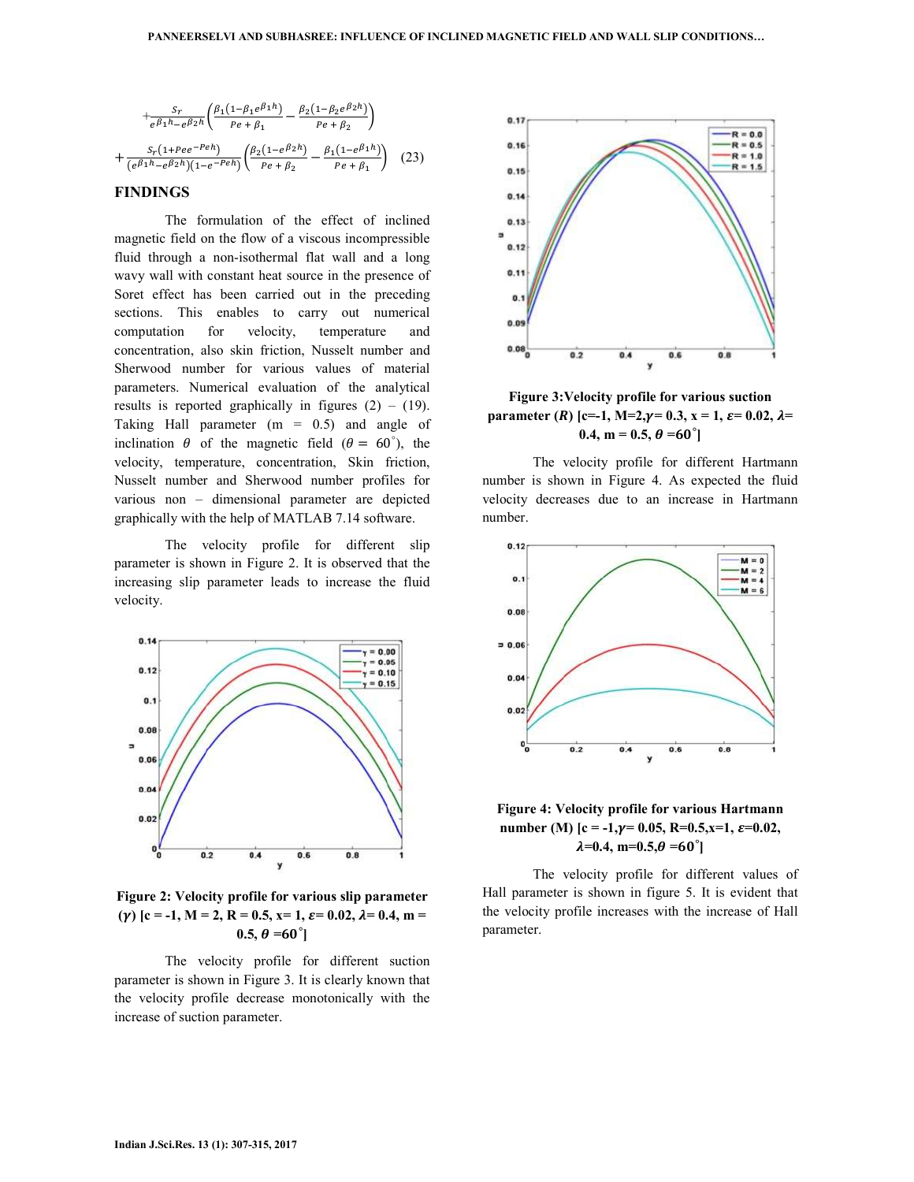$$
+\frac{S_r}{e^{\beta_1 h} - e^{\beta_2 h}} \left( \frac{\beta_1 (1 - \beta_1 e^{\beta_1 h})}{P e + \beta_1} - \frac{\beta_2 (1 - \beta_2 e^{\beta_2 h})}{P e + \beta_2} \right)
$$

$$
+\frac{S_r (1 + P e e^{-P e h})}{(e^{\beta_1 h} - e^{\beta_2 h})(1 - e^{-P e h})} \left( \frac{\beta_2 (1 - e^{\beta_2 h})}{P e + \beta_2} - \frac{\beta_1 (1 - e^{\beta_1 h})}{P e + \beta_1} \right) (23)
$$

## **FINDINGS**

 The formulation of the effect of inclined magnetic field on the flow of a viscous incompressible fluid through a non-isothermal flat wall and a long wavy wall with constant heat source in the presence of Soret effect has been carried out in the preceding sections. This enables to carry out numerical computation for velocity, temperature and concentration, also skin friction, Nusselt number and Sherwood number for various values of material parameters. Numerical evaluation of the analytical results is reported graphically in figures  $(2) - (19)$ . Taking Hall parameter (m = 0.5) and angle of inclination  $\theta$  of the magnetic field ( $\theta = 60^{\degree}$ ), the velocity, temperature, concentration, Skin friction, Nusselt number and Sherwood number profiles for various non – dimensional parameter are depicted graphically with the help of MATLAB 7.14 software.

 The velocity profile for different slip parameter is shown in Figure 2. It is observed that the increasing slip parameter leads to increase the fluid velocity.



**Figure 2: Velocity profile for various slip parameter**   $(\gamma)$  [c = -1, M = 2, R = 0.5, x= 1,  $\varepsilon$  = 0.02,  $\lambda$  = 0.4, m =  $(0.5, \theta = 60^{\circ})$ 

 The velocity profile for different suction parameter is shown in Figure 3. It is clearly known that the velocity profile decrease monotonically with the increase of suction parameter.



**Figure 3:Velocity profile for various suction parameter** (*R*) [c=-1, M=2, $\gamma$ = 0.3, x = 1,  $\varepsilon$ = 0.02,  $\lambda$ =  $0.4, m = 0.5, \theta = 60^{\circ}$ 

 The velocity profile for different Hartmann number is shown in Figure 4. As expected the fluid velocity decreases due to an increase in Hartmann number.





 The velocity profile for different values of Hall parameter is shown in figure 5. It is evident that the velocity profile increases with the increase of Hall parameter.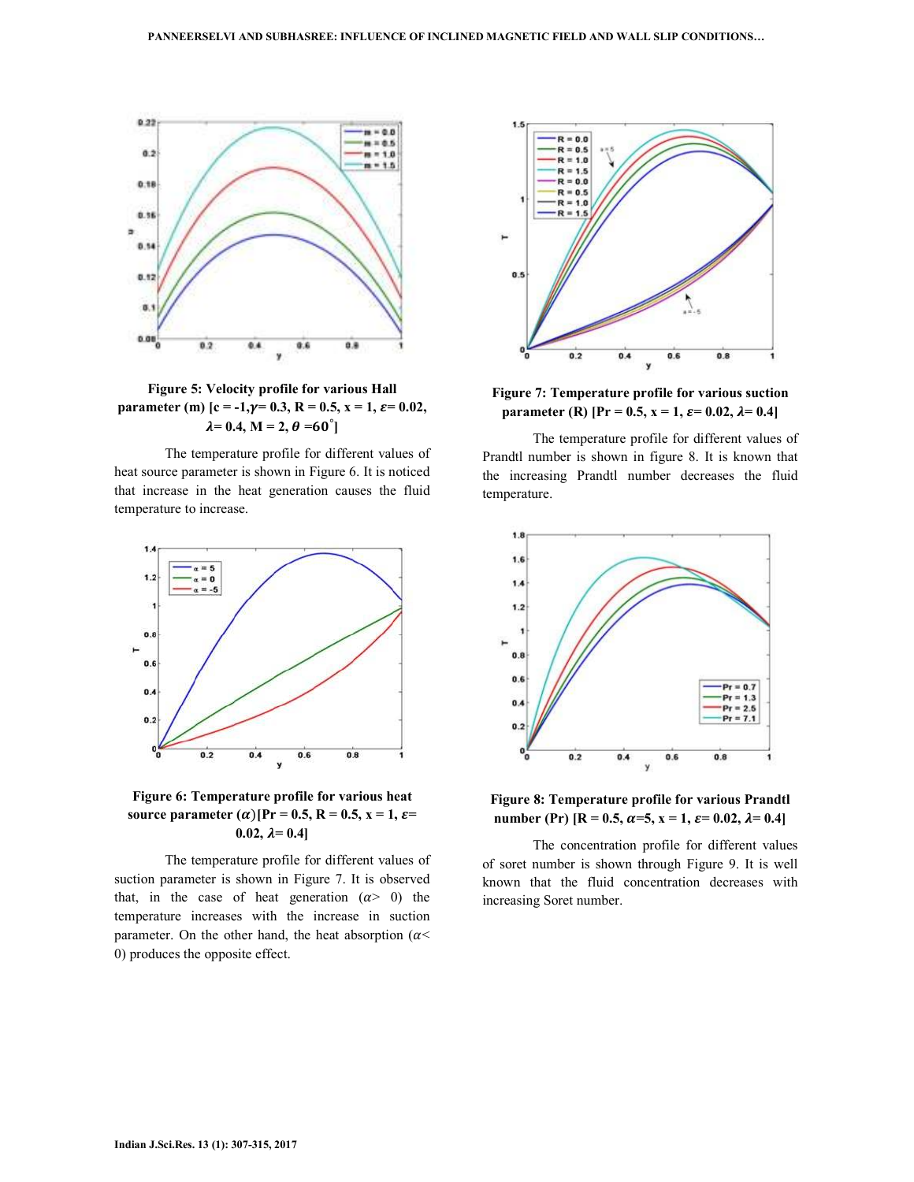

**Figure 5: Velocity profile for various Hall parameter (m)**  $c = -1, \gamma = 0.3, R = 0.5, x = 1, \epsilon = 0.02,$  $\lambda = 0.4, M = 2, \theta = 60^{\circ}$ 

 The temperature profile for different values of heat source parameter is shown in Figure 6. It is noticed that increase in the heat generation causes the fluid temperature to increase.



# **Figure 6: Temperature profile for various heat source parameter (** $\alpha$ **)**[Pr = 0.5, R = 0.5, x = 1,  $\varepsilon$ = 0.02,  $\lambda = 0.4$ ]

 The temperature profile for different values of suction parameter is shown in Figure 7. It is observed that, in the case of heat generation  $(\alpha > 0)$  the temperature increases with the increase in suction parameter. On the other hand, the heat absorption ( $\alpha$ < 0) produces the opposite effect.



**Figure 7: Temperature profile for various suction parameter (R)** [Pr = 0.5,  $x = 1$ ,  $\varepsilon = 0.02$ ,  $\lambda = 0.4$ ]

 The temperature profile for different values of Prandtl number is shown in figure 8. It is known that the increasing Prandtl number decreases the fluid temperature.



**Figure 8: Temperature profile for various Prandtl number (Pr)**  $[R = 0.5, \alpha = 5, x = 1, \varepsilon = 0.02, \lambda = 0.4]$ 

 The concentration profile for different values of soret number is shown through Figure 9. It is well known that the fluid concentration decreases with increasing Soret number.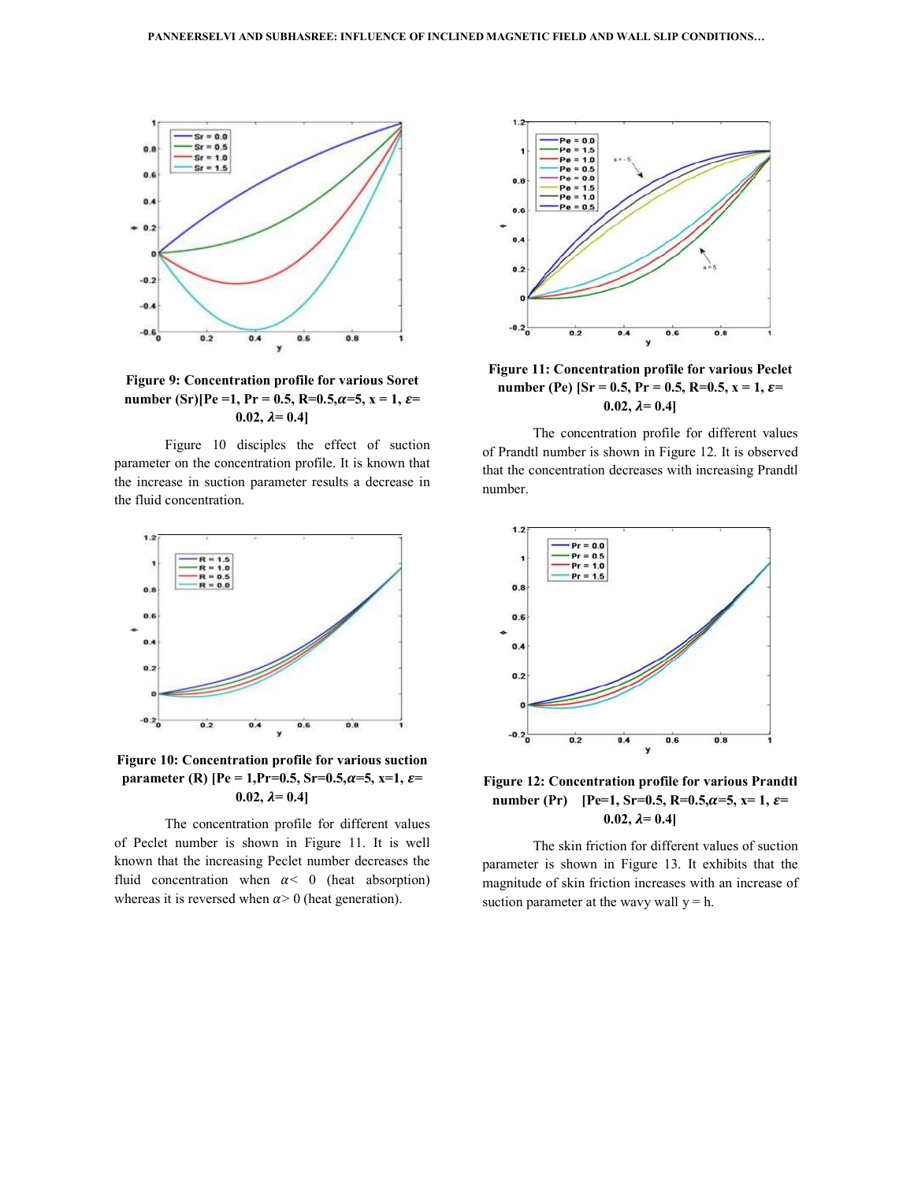

**Figure 9: Concentration profile for various Soret number** (Sr)[Pe =1, Pr = 0.5, R=0.5, $\alpha$ =5, x = 1,  $\varepsilon$ = **0.02,**  $\lambda = 0.4$ 

 Figure 10 disciples the effect of suction parameter on the concentration profile. It is known that the increase in suction parameter results a decrease in the fluid concentration.



**Figure 10: Concentration profile for various suction parameter (R)** [Pe = 1,Pr=0.5, Sr=0.5, $\alpha$ =5, x=1,  $\varepsilon$ =  $0.02, \lambda = 0.4$ ]

 The concentration profile for different values of Peclet number is shown in Figure 11. It is well known that the increasing Peclet number decreases the fluid concentration when  $\alpha < 0$  (heat absorption) whereas it is reversed when  $\alpha$  > 0 (heat generation).



**Figure 11: Concentration profile for various Peclet number (Pe)** [Sr = 0.5, Pr = 0.5, R=0.5, x = 1,  $\varepsilon$ = **0.02,**  $\lambda = 0.4$ 

 The concentration profile for different values of Prandtl number is shown in Figure 12. It is observed that the concentration decreases with increasing Prandtl number.



**Figure 12: Concentration profile for various Prandtl number (Pr)** [Pe=1, Sr=0.5, R=0.5, $\alpha$ =5, x=1,  $\varepsilon$ = 0.02,  $\lambda = 0.4$ ]

 The skin friction for different values of suction parameter is shown in Figure 13. It exhibits that the magnitude of skin friction increases with an increase of suction parameter at the wavy wall  $y = h$ .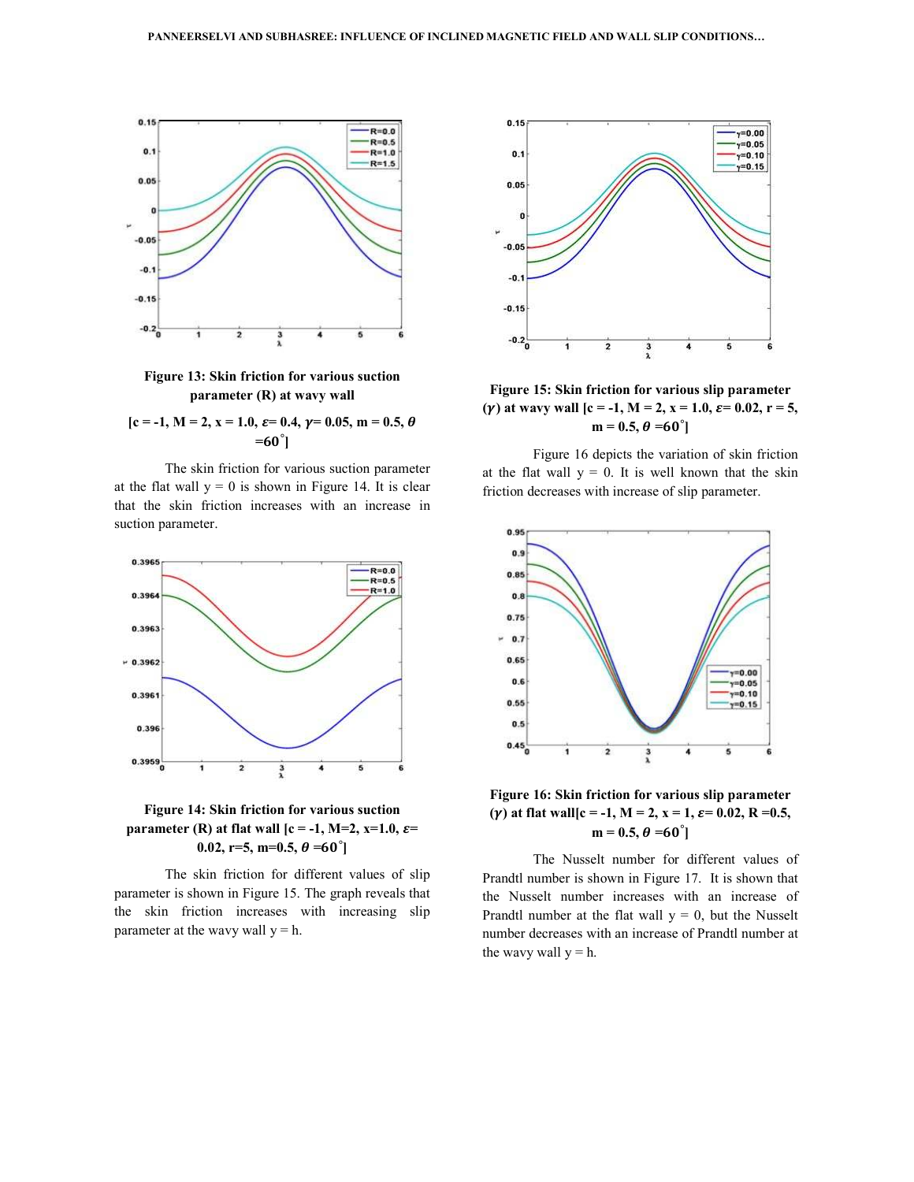

**Figure 13: Skin friction for various suction parameter (R) at wavy wall** 

 $[c = -1, M = 2, x = 1.0, \varepsilon = 0.4, \gamma = 0.05, m = 0.5, \theta$  $=60^{\circ}$ ]

 The skin friction for various suction parameter at the flat wall  $y = 0$  is shown in Figure 14. It is clear that the skin friction increases with an increase in suction parameter.



# **Figure 14: Skin friction for various suction parameter (R) at flat wall [c = -1, M=2, x=1.0,**  $\varepsilon$ **=**  $0.02, r=5, m=0.5, \theta = 60^{\circ}$

 The skin friction for different values of slip parameter is shown in Figure 15. The graph reveals that the skin friction increases with increasing slip parameter at the wavy wall  $y = h$ .



**Figure 15: Skin friction for various slip parameter** (*x*) at wavy wall  $[c = -1, M = 2, x = 1.0, \varepsilon = 0.02, r = 5,$  $m = 0.5, \theta = 60^{\circ}$ 

 Figure 16 depicts the variation of skin friction at the flat wall  $y = 0$ . It is well known that the skin friction decreases with increase of slip parameter.



**Figure 16: Skin friction for various slip parameter** ( $\gamma$ ) at flat wall  $[c = -1, M = 2, x = 1, \varepsilon = 0.02, R = 0.5,$  $m = 0.5, \theta = 60^{\circ}$ 

 The Nusselt number for different values of Prandtl number is shown in Figure 17. It is shown that the Nusselt number increases with an increase of Prandtl number at the flat wall  $y = 0$ , but the Nusselt number decreases with an increase of Prandtl number at the wavy wall  $y = h$ .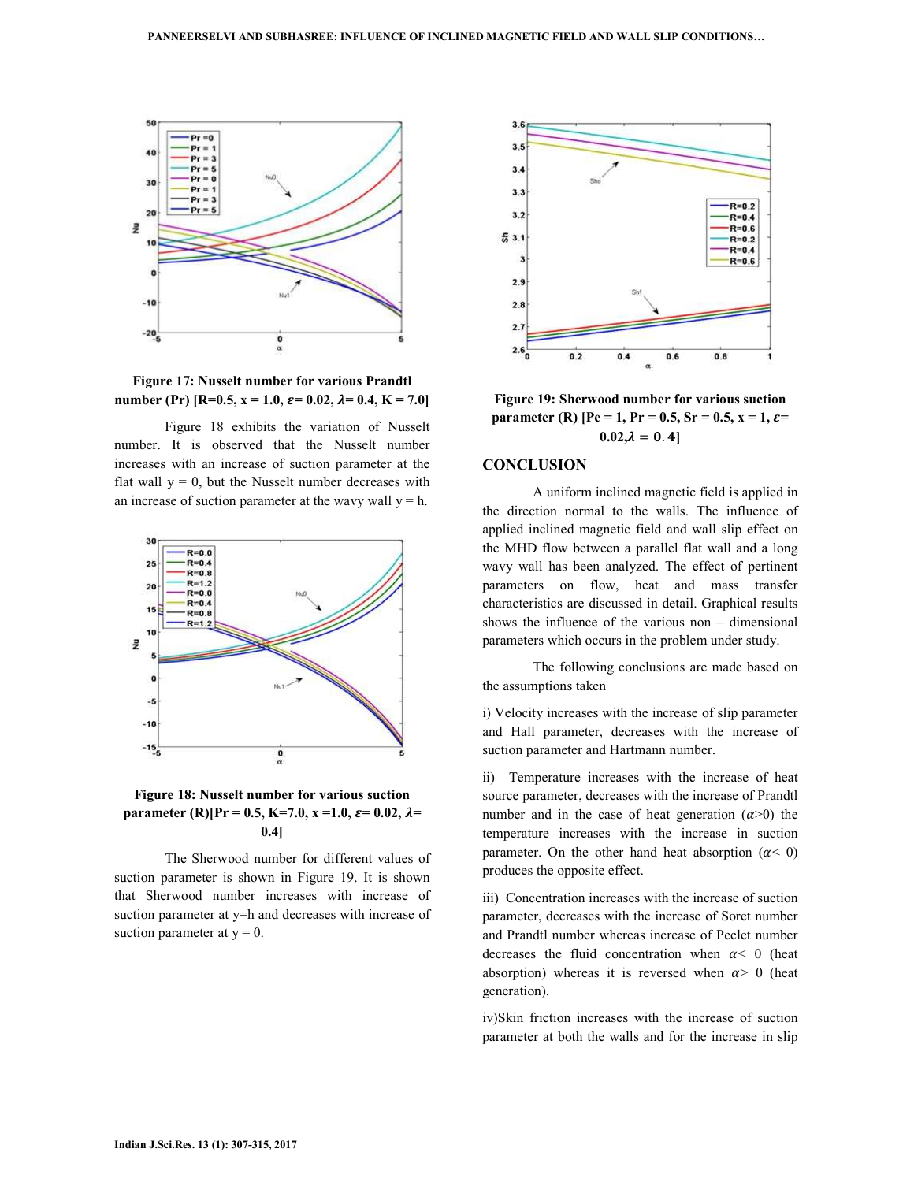

**Figure 17: Nusselt number for various Prandtl number (Pr)** [R=0.5,  $x = 1.0$ ,  $\varepsilon = 0.02$ ,  $\lambda = 0.4$ ,  $K = 7.0$ ]

 Figure 18 exhibits the variation of Nusselt number. It is observed that the Nusselt number increases with an increase of suction parameter at the flat wall  $y = 0$ , but the Nusselt number decreases with an increase of suction parameter at the wavy wall  $y = h$ .



# **Figure 18: Nusselt number for various suction parameter (R)[Pr = 0.5, K=7.0, x = 1.0,**  $\varepsilon$  **= 0.02,**  $\lambda$ **= 0.4]**

 The Sherwood number for different values of suction parameter is shown in Figure 19. It is shown that Sherwood number increases with increase of suction parameter at y=h and decreases with increase of suction parameter at  $y = 0$ .



**Figure 19: Sherwood number for various suction parameter (R)** [Pe = 1, Pr = 0.5, Sr = 0.5, x = 1,  $\varepsilon$ =  $0.02, \lambda = 0.4$ 

#### **CONCLUSION**

 A uniform inclined magnetic field is applied in the direction normal to the walls. The influence of applied inclined magnetic field and wall slip effect on the MHD flow between a parallel flat wall and a long wavy wall has been analyzed. The effect of pertinent parameters on flow, heat and mass transfer characteristics are discussed in detail. Graphical results shows the influence of the various non – dimensional parameters which occurs in the problem under study.

 The following conclusions are made based on the assumptions taken

i) Velocity increases with the increase of slip parameter and Hall parameter, decreases with the increase of suction parameter and Hartmann number.

ii) Temperature increases with the increase of heat source parameter, decreases with the increase of Prandtl number and in the case of heat generation  $(\alpha > 0)$  the temperature increases with the increase in suction parameter. On the other hand heat absorption ( $\alpha$ < 0) produces the opposite effect.

iii) Concentration increases with the increase of suction parameter, decreases with the increase of Soret number and Prandtl number whereas increase of Peclet number decreases the fluid concentration when  $\alpha$ < 0 (heat absorption) whereas it is reversed when  $\alpha$  > 0 (heat generation).

iv)Skin friction increases with the increase of suction parameter at both the walls and for the increase in slip